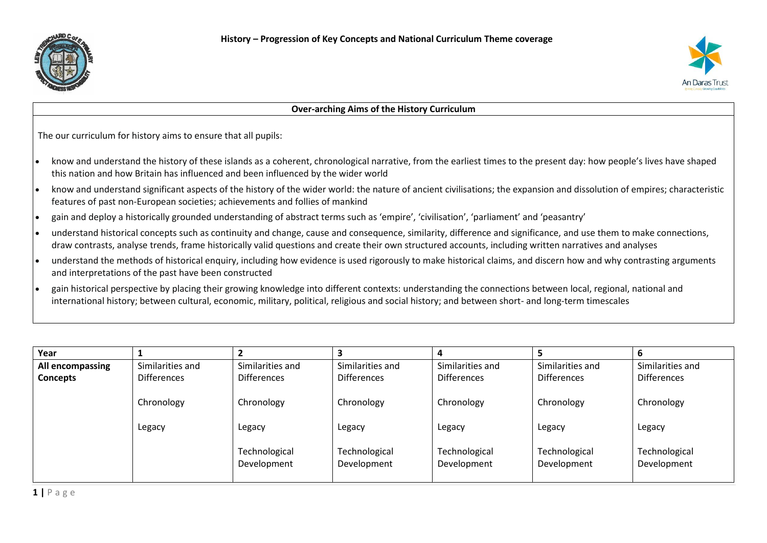



## **Over-arching Aims of the History Curriculum**

The our curriculum for history aims to ensure that all pupils:

- know and understand the history of these islands as a coherent, chronological narrative, from the earliest times to the present day: how people's lives have shaped this nation and how Britain has influenced and been influenced by the wider world
- know and understand significant aspects of the history of the wider world: the nature of ancient civilisations; the expansion and dissolution of empires; characteristic features of past non-European societies; achievements and follies of mankind
- gain and deploy a historically grounded understanding of abstract terms such as 'empire', 'civilisation', 'parliament' and 'peasantry'
- understand historical concepts such as continuity and change, cause and consequence, similarity, difference and significance, and use them to make connections, draw contrasts, analyse trends, frame historically valid questions and create their own structured accounts, including written narratives and analyses
- understand the methods of historical enquiry, including how evidence is used rigorously to make historical claims, and discern how and why contrasting arguments and interpretations of the past have been constructed
- gain historical perspective by placing their growing knowledge into different contexts: understanding the connections between local, regional, national and international history; between cultural, economic, military, political, religious and social history; and between short- and long-term timescales

| Year             |                    |                    |                    |                    |                    | 6                  |
|------------------|--------------------|--------------------|--------------------|--------------------|--------------------|--------------------|
| All encompassing | Similarities and   | Similarities and   | Similarities and   | Similarities and   | Similarities and   | Similarities and   |
| <b>Concepts</b>  | <b>Differences</b> | <b>Differences</b> | <b>Differences</b> | <b>Differences</b> | <b>Differences</b> | <b>Differences</b> |
|                  |                    |                    |                    |                    |                    |                    |
|                  | Chronology         | Chronology         | Chronology         | Chronology         | Chronology         | Chronology         |
|                  |                    |                    |                    |                    |                    |                    |
|                  | Legacy             | Legacy             | Legacy             | Legacy             | Legacy             | Legacy             |
|                  |                    |                    |                    |                    |                    |                    |
|                  |                    | Technological      | Technological      | Technological      | Technological      | Technological      |
|                  |                    | Development        | Development        | Development        | Development        | Development        |
|                  |                    |                    |                    |                    |                    |                    |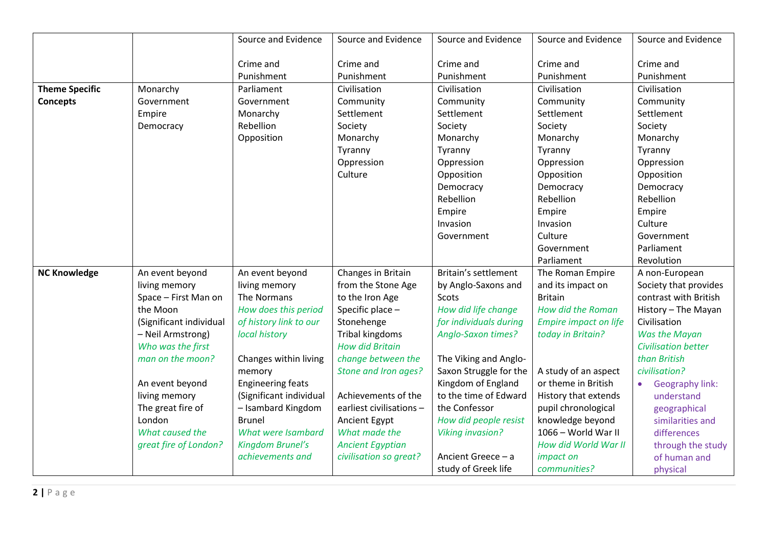|                       |                         | Source and Evidence      | Source and Evidence      | Source and Evidence       | Source and Evidence          | Source and Evidence                 |
|-----------------------|-------------------------|--------------------------|--------------------------|---------------------------|------------------------------|-------------------------------------|
|                       |                         | Crime and<br>Punishment  | Crime and<br>Punishment  | Crime and<br>Punishment   | Crime and<br>Punishment      | Crime and<br>Punishment             |
| <b>Theme Specific</b> | Monarchy                | Parliament               | Civilisation             | Civilisation              | Civilisation                 | Civilisation                        |
| <b>Concepts</b>       | Government              | Government               | Community                | Community                 | Community                    | Community                           |
|                       | Empire                  | Monarchy                 | Settlement               | Settlement                | Settlement                   | Settlement                          |
|                       | Democracy               | Rebellion                | Society                  | Society                   | Society                      | Society                             |
|                       |                         |                          |                          |                           |                              |                                     |
|                       |                         | Opposition               | Monarchy                 | Monarchy                  | Monarchy                     | Monarchy                            |
|                       |                         |                          | Tyranny                  | Tyranny                   | Tyranny                      | Tyranny                             |
|                       |                         |                          | Oppression               | Oppression                | Oppression                   | Oppression                          |
|                       |                         |                          | Culture                  | Opposition                | Opposition                   | Opposition                          |
|                       |                         |                          |                          | Democracy                 | Democracy                    | Democracy                           |
|                       |                         |                          |                          | Rebellion                 | Rebellion                    | Rebellion                           |
|                       |                         |                          |                          | Empire                    | Empire                       | Empire                              |
|                       |                         |                          |                          | Invasion                  | Invasion                     | Culture                             |
|                       |                         |                          |                          | Government                | Culture                      | Government                          |
|                       |                         |                          |                          |                           | Government                   | Parliament                          |
|                       |                         |                          |                          |                           | Parliament                   | Revolution                          |
| <b>NC Knowledge</b>   | An event beyond         | An event beyond          | Changes in Britain       | Britain's settlement      | The Roman Empire             | A non-European                      |
|                       | living memory           | living memory            | from the Stone Age       | by Anglo-Saxons and       | and its impact on            | Society that provides               |
|                       | Space - First Man on    | The Normans              | to the Iron Age          | Scots                     | <b>Britain</b>               | contrast with British               |
|                       | the Moon                | How does this period     | Specific place -         | How did life change       | How did the Roman            | History - The Mayan                 |
|                       | (Significant individual | of history link to our   | Stonehenge               | for individuals during    | <b>Empire impact on life</b> | Civilisation                        |
|                       | - Neil Armstrong)       | local history            | <b>Tribal kingdoms</b>   | <b>Anglo-Saxon times?</b> | today in Britain?            | Was the Mayan                       |
|                       | Who was the first       |                          | <b>How did Britain</b>   |                           |                              | <b>Civilisation better</b>          |
|                       | man on the moon?        | Changes within living    | change between the       | The Viking and Anglo-     |                              | than British                        |
|                       |                         | memory                   | Stone and Iron ages?     | Saxon Struggle for the    | A study of an aspect         | civilisation?                       |
|                       | An event beyond         | <b>Engineering feats</b> |                          | Kingdom of England        | or theme in British          | <b>Geography link:</b><br>$\bullet$ |
|                       | living memory           | (Significant individual  | Achievements of the      | to the time of Edward     | History that extends         | understand                          |
|                       | The great fire of       | - Isambard Kingdom       | earliest civilisations - | the Confessor             | pupil chronological          | geographical                        |
|                       | London                  | <b>Brunel</b>            | Ancient Egypt            | How did people resist     | knowledge beyond             | similarities and                    |
|                       | What caused the         | What were Isambard       | What made the            | <b>Viking invasion?</b>   | 1066 - World War II          | differences                         |
|                       | great fire of London?   | Kingdom Brunel's         | <b>Ancient Egyptian</b>  |                           | How did World War II         | through the study                   |
|                       |                         | achievements and         | civilisation so great?   | Ancient Greece - a        | impact on                    | of human and                        |
|                       |                         |                          |                          | study of Greek life       | communities?                 | physical                            |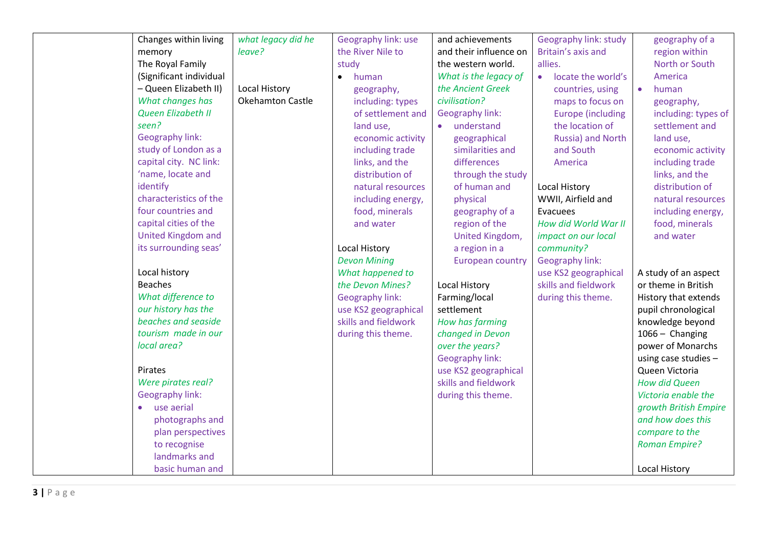| Changes within living   | what legacy did he      | Geography link: use    | and achievements        | <b>Geography link: study</b> | geography of a         |
|-------------------------|-------------------------|------------------------|-------------------------|------------------------------|------------------------|
| memory                  | leave?                  | the River Nile to      | and their influence on  | Britain's axis and           | region within          |
| The Royal Family        |                         | study                  | the western world.      | allies.                      | North or South         |
| (Significant individual |                         | human<br>$\bullet$     | What is the legacy of   | • locate the world's         | America                |
| - Queen Elizabeth II)   | Local History           | geography,             | the Ancient Greek       | countries, using             | human                  |
| What changes has        | <b>Okehamton Castle</b> | including: types       | civilisation?           | maps to focus on             | geography,             |
| Queen Elizabeth II      |                         | of settlement and      | <b>Geography link:</b>  | <b>Europe</b> (including     | including: types of    |
| seen?                   |                         | land use,              | understand<br>$\bullet$ | the location of              | settlement and         |
| Geography link:         |                         | economic activity      | geographical            | Russia) and North            | land use,              |
| study of London as a    |                         | including trade        | similarities and        | and South                    | economic activity      |
| capital city. NC link:  |                         | links, and the         | differences             | America                      | including trade        |
| 'name, locate and       |                         | distribution of        | through the study       |                              | links, and the         |
| identify                |                         | natural resources      | of human and            | <b>Local History</b>         | distribution of        |
| characteristics of the  |                         | including energy,      | physical                | WWII, Airfield and           | natural resources      |
| four countries and      |                         | food, minerals         | geography of a          | Evacuees                     | including energy,      |
| capital cities of the   |                         | and water              | region of the           | How did World War II         | food, minerals         |
| United Kingdom and      |                         |                        | United Kingdom,         | impact on our local          | and water              |
| its surrounding seas'   |                         | <b>Local History</b>   | a region in a           | community?                   |                        |
|                         |                         | <b>Devon Mining</b>    | <b>European country</b> | Geography link:              |                        |
| Local history           |                         | What happened to       |                         | use KS2 geographical         | A study of an aspect   |
| <b>Beaches</b>          |                         | the Devon Mines?       | Local History           | skills and fieldwork         | or theme in British    |
| What difference to      |                         | <b>Geography link:</b> | Farming/local           | during this theme.           | History that extends   |
| our history has the     |                         | use KS2 geographical   | settlement              |                              | pupil chronological    |
| beaches and seaside     |                         | skills and fieldwork   | How has farming         |                              | knowledge beyond       |
| tourism made in our     |                         | during this theme.     | changed in Devon        |                              | 1066 - Changing        |
| local area?             |                         |                        | over the years?         |                              | power of Monarchs      |
|                         |                         |                        | Geography link:         |                              | using case studies $-$ |
| Pirates                 |                         |                        | use KS2 geographical    |                              | Queen Victoria         |
| Were pirates real?      |                         |                        | skills and fieldwork    |                              | <b>How did Queen</b>   |
| Geography link:         |                         |                        | during this theme.      |                              | Victoria enable the    |
| use aerial              |                         |                        |                         |                              | growth British Empire  |
| photographs and         |                         |                        |                         |                              | and how does this      |
| plan perspectives       |                         |                        |                         |                              | compare to the         |
| to recognise            |                         |                        |                         |                              | <b>Roman Empire?</b>   |
| landmarks and           |                         |                        |                         |                              |                        |
| basic human and         |                         |                        |                         |                              | <b>Local History</b>   |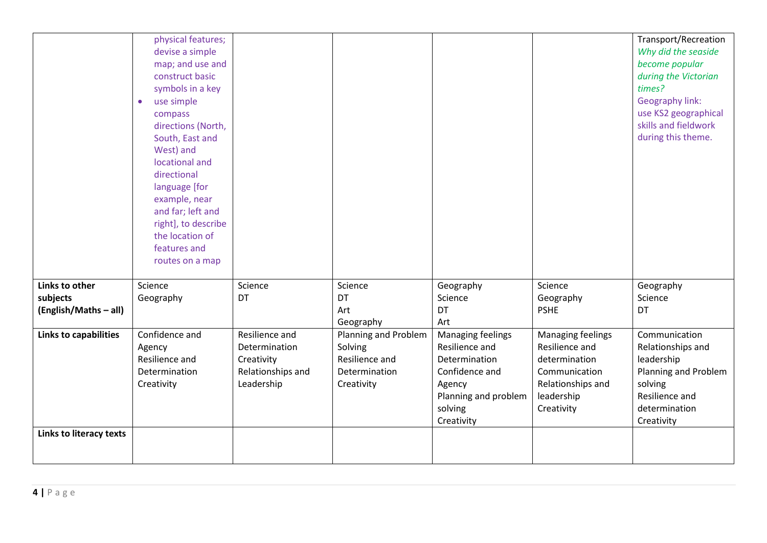|                         | physical features;      |                   |                      |                      |                   | <b>Transport/Recreation</b> |
|-------------------------|-------------------------|-------------------|----------------------|----------------------|-------------------|-----------------------------|
|                         | devise a simple         |                   |                      |                      |                   | Why did the seaside         |
|                         | map; and use and        |                   |                      |                      |                   | become popular              |
|                         | construct basic         |                   |                      |                      |                   | during the Victorian        |
|                         | symbols in a key        |                   |                      |                      |                   | times?                      |
|                         | use simple<br>$\bullet$ |                   |                      |                      |                   | Geography link:             |
|                         | compass                 |                   |                      |                      |                   | use KS2 geographical        |
|                         | directions (North,      |                   |                      |                      |                   | skills and fieldwork        |
|                         | South, East and         |                   |                      |                      |                   | during this theme.          |
|                         | West) and               |                   |                      |                      |                   |                             |
|                         | locational and          |                   |                      |                      |                   |                             |
|                         | directional             |                   |                      |                      |                   |                             |
|                         | language [for           |                   |                      |                      |                   |                             |
|                         | example, near           |                   |                      |                      |                   |                             |
|                         | and far; left and       |                   |                      |                      |                   |                             |
|                         | right], to describe     |                   |                      |                      |                   |                             |
|                         | the location of         |                   |                      |                      |                   |                             |
|                         | features and            |                   |                      |                      |                   |                             |
|                         | routes on a map         |                   |                      |                      |                   |                             |
| Links to other          | Science                 | Science           | Science              | Geography            | Science           | Geography                   |
| subjects                | Geography               | DT                | DT                   | Science              | Geography         | Science                     |
| (English/Maths - all)   |                         |                   | Art                  | DT                   | <b>PSHE</b>       | DT                          |
|                         |                         |                   | Geography            | Art                  |                   |                             |
| Links to capabilities   | Confidence and          | Resilience and    | Planning and Problem | Managing feelings    | Managing feelings | Communication               |
|                         | Agency                  | Determination     | Solving              | Resilience and       | Resilience and    | Relationships and           |
|                         | Resilience and          | Creativity        | Resilience and       | Determination        | determination     | leadership                  |
|                         | Determination           | Relationships and | Determination        | Confidence and       | Communication     | Planning and Problem        |
|                         | Creativity              | Leadership        | Creativity           | Agency               | Relationships and | solving                     |
|                         |                         |                   |                      | Planning and problem | leadership        | Resilience and              |
|                         |                         |                   |                      | solving              | Creativity        | determination               |
|                         |                         |                   |                      | Creativity           |                   | Creativity                  |
| Links to literacy texts |                         |                   |                      |                      |                   |                             |
|                         |                         |                   |                      |                      |                   |                             |
|                         |                         |                   |                      |                      |                   |                             |